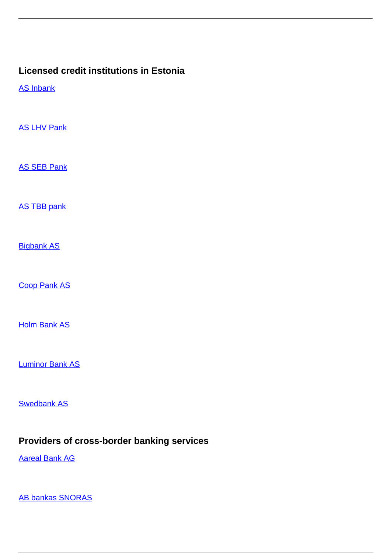## **Licensed credit institutions in Estonia**

[AS Inbank](/en/banking-and-credit/banking-and-credit/credit-institutions/licensed-credit-institutions-estonia/inbank)

**[AS LHV Pank](/en/banking-and-credit/banking-and-credit/credit-institutions/licensed-credit-institutions-estonia/lhv-pank)** 

[AS SEB Pank](/en/banking-and-credit/banking-and-credit/credit-institutions/licensed-credit-institutions-estonia/seb-pank)

[AS TBB pank](/en/banking-and-credit/banking-and-credit/credit-institutions/licensed-credit-institutions-estonia/tbb-pank)

**[Bigbank AS](/en/banking-and-credit/banking-and-credit/credit-institutions/licensed-credit-institutions-estonia/bigbank)** 

[Coop Pank AS](/en/banking-and-credit/banking-and-credit/credit-institutions/licensed-credit-institutions-estonia/coop-pank)

**[Holm Bank AS](/en/banking-and-credit/banking-and-credit/credit-institutions/licensed-credit-institutions-estonia/holm-bank)** 

[Luminor Bank AS](/en/banking-and-credit/banking-and-credit/credit-institutions/licensed-credit-institutions-estonia/luminor-bank)

[Swedbank AS](/en/banking-and-credit/banking-and-credit/credit-institutions/licensed-credit-institutions-estonia/swedbank)

## **Providers of cross-border banking services**

[Aareal Bank AG](/en/banking-and-credit/banking-and-credit/credit-institutions/providers-cross-border-banking-services/aareal-bank-ag)

[AB bankas SNORAS](/en/banking-and-credit/banking-and-credit/credit-institutions/providers-cross-border-banking-services/ab-bankas-snoras)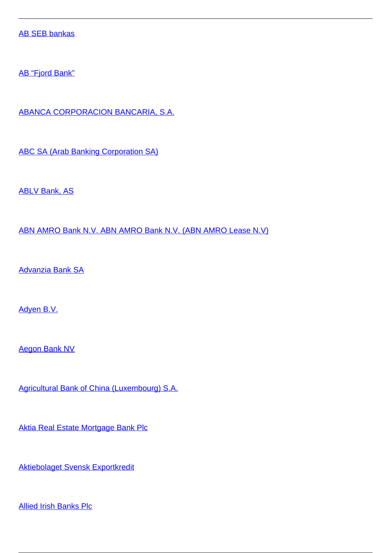[AB SEB bankas](/en/banking-and-credit/banking-and-credit/credit-institutions/providers-cross-border-banking-services/ab-seb-bankas)

[AB "Fjord Bank"](/en/banking-and-credit/banking-and-credit/credit-institutions/providers-cross-border-banking-services/ab-fjord-bank)

[ABANCA CORPORACION BANCARIA, S.A.](/en/banking-and-credit/banking-and-credit/credit-institutions/providers-cross-border-banking-services/abanca-corporacion-bancaria-sa)

[ABC SA \(Arab Banking Corporation SA\)](/en/banking-and-credit/banking-and-credit/credit-institutions/providers-cross-border-banking-services/abc-sa-arab-banking-corporation-sa)

[ABLV Bank, AS](/en/banking-and-credit/banking-and-credit/credit-institutions/providers-cross-border-banking-services/ablv-bank)

[ABN AMRO Bank N.V. ABN AMRO Bank N.V. \(ABN AMRO Lease N.V\)](/en/banking-and-credit/banking-and-credit/credit-institutions/providers-cross-border-banking-services/abn-amro-bank-nv-abn-amro-bank-nv-abn-amro-lease-nv)

[Advanzia Bank SA](/en/banking-and-credit/banking-and-credit/credit-institutions/providers-cross-border-banking-services/advanzia-bank-sa)

[Adyen B.V.](/en/banking-and-credit/banking-and-credit/credit-institutions/providers-cross-border-banking-services/adyen-bv)

[Aegon Bank NV](/en/banking-and-credit/banking-and-credit/credit-institutions/providers-cross-border-banking-services/aegon-bank-nv)

[Agricultural Bank of China \(Luxembourg\) S.A.](/en/banking-and-credit/banking-and-credit/credit-institutions/providers-cross-border-banking-services/agricultural-bank-china-luxembourg-sa)

[Aktia Real Estate Mortgage Bank Plc](/en/banking-and-credit/banking-and-credit/credit-institutions/providers-cross-border-banking-services/aktia-real-estate-mortgage-bank-plc)

[Aktiebolaget Svensk Exportkredit](/en/banking-and-credit/banking-and-credit/credit-institutions/providers-cross-border-banking-services/aktiebolaget-svensk-exportkredit)

[Allied Irish Banks Plc](/en/banking-and-credit/banking-and-credit/credit-institutions/providers-cross-border-banking-services/allied-irish-banks-plc)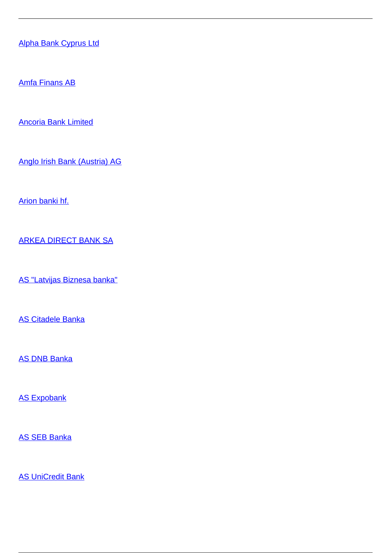[Alpha Bank Cyprus Ltd](/en/banking-and-credit/banking-and-credit/credit-institutions/providers-cross-border-banking-services/alpha-bank-cyprus-ltd)

[Amfa Finans AB](/en/banking-and-credit/banking-and-credit/credit-institutions/providers-cross-border-banking-services/amfa-finans-ab)

[Ancoria Bank Limited](/en/banking-and-credit/banking-and-credit/credit-institutions/providers-cross-border-banking-services/ancoria-bank-limited)

[Anglo Irish Bank \(Austria\) AG](/en/banking-and-credit/banking-and-credit/credit-institutions/providers-cross-border-banking-services/anglo-irish-bank-austria-ag)

[Arion banki hf.](/en/banking-and-credit/banking-and-credit/credit-institutions/providers-cross-border-banking-services/arion-banki-hf)

[ARKEA DIRECT BANK SA](/en/banking-and-credit/banking-and-credit/credit-institutions/providers-cross-border-banking-services/arkea-direct-bank-sa)

[AS "Latvijas Biznesa banka"](/en/banking-and-credit/banking-and-credit/credit-institutions/providers-cross-border-banking-services/latvijas-biznesa-banka)

[AS Citadele Banka](/en/banking-and-credit/banking-and-credit/credit-institutions/providers-cross-border-banking-services/citadele-banka)

[AS DNB Banka](/en/banking-and-credit/banking-and-credit/credit-institutions/providers-cross-border-banking-services/dnb-banka)

**[AS Expobank](/en/banking-and-credit/banking-and-credit/credit-institutions/providers-cross-border-banking-services/expobank)** 

[AS SEB Banka](/en/banking-and-credit/banking-and-credit/credit-institutions/providers-cross-border-banking-services/seb-banka)

**[AS UniCredit Bank](/en/banking-and-credit/banking-and-credit/credit-institutions/providers-cross-border-banking-services/unicredit-bank)**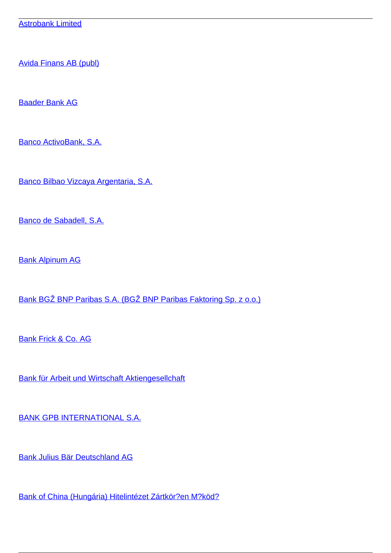[Avida Finans AB \(publ\)](/en/banking-and-credit/banking-and-credit/credit-institutions/providers-cross-border-banking-services/avida-finans-ab-publ)

[Baader Bank AG](/en/banking-and-credit/banking-and-credit/credit-institutions/providers-cross-border-banking-services/baader-bank-ag)

[Banco ActivoBank, S.A.](/en/banking-and-credit/banking-and-credit/credit-institutions/providers-cross-border-banking-services/banco-activobank-sa)

[Banco Bilbao Vizcaya Argentaria, S.A.](/en/banking-and-credit/banking-and-credit/credit-institutions/providers-cross-border-banking-services/banco-bilbao-vizcaya-argentaria-sa)

[Banco de Sabadell, S.A.](/en/banking-and-credit/banking-and-credit/credit-institutions/providers-cross-border-banking-services/banco-de-sabadell-sa)

[Bank Alpinum AG](/en/banking-and-credit/banking-and-credit/credit-institutions/providers-cross-border-banking-services/bank-alpinum-ag)

[Bank BGŽ BNP Paribas S.A. \(BGŽ BNP Paribas Faktoring Sp. z o.o.\)](/en/banking-and-credit/banking-and-credit/credit-institutions/providers-cross-border-banking-services/bank-bgz-bnp-paribas-sa-bgz-bnp-paribas-faktoring-sp-z-oo)

[Bank Frick & Co. AG](/en/banking-and-credit/banking-and-credit/credit-institutions/providers-cross-border-banking-services/bank-frick-co-ag)

[Bank für Arbeit und Wirtschaft Aktiengesellchaft](/en/banking-and-credit/banking-and-credit/credit-institutions/providers-cross-border-banking-services/bank-fur-arbeit-und-wirtschaft-aktiengesellchaft)

[BANK GPB INTERNATIONAL S.A.](/en/banking-and-credit/banking-and-credit/credit-institutions/providers-cross-border-banking-services/bank-gpb-international-sa)

[Bank Julius Bär Deutschland AG](/en/banking-and-credit/banking-and-credit/credit-institutions/providers-cross-border-banking-services/bank-julius-bar-deutschland-ag)

[Bank of China \(Hungária\) Hitelintézet Zártkör?en M?köd?](/en/banking-and-credit/banking-and-credit/credit-institutions/providers-cross-border-banking-services/bank-china-hungaria-hitelintezet-zartkoruen-mukodo)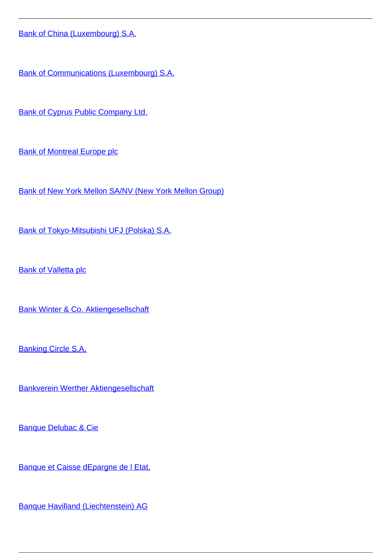[Bank of China \(Luxembourg\) S.A.](/en/banking-and-credit/banking-and-credit/credit-institutions/providers-cross-border-banking-services/bank-china-luxembourg-sa)

[Bank of Communications \(Luxembourg\) S.A.](/en/banking-and-credit/banking-and-credit/credit-institutions/providers-cross-border-banking-services/bank-communications-luxembourg-sa)

[Bank of Cyprus Public Company Ltd.](/en/banking-and-credit/banking-and-credit/credit-institutions/providers-cross-border-banking-services/bank-cyprus-public-company-ltd)

[Bank of Montreal Europe plc](/en/banking-and-credit/banking-and-credit/credit-institutions/providers-cross-border-banking-services/bank-montreal-europe-plc)

[Bank of New York Mellon SA/NV \(New York Mellon Group\)](/en/banking-and-credit/banking-and-credit/credit-institutions/providers-cross-border-banking-services/bank-new-york-mellon-sanv-new-york-mellon-group)

[Bank of Tokyo-Mitsubishi UFJ \(Polska\) S.A.](/en/banking-and-credit/banking-and-credit/credit-institutions/providers-cross-border-banking-services/bank-tokyo-mitsubishi-ufj-polska-sa)

**[Bank of Valletta plc](/en/banking-and-credit/banking-and-credit/credit-institutions/providers-cross-border-banking-services/bank-valletta-plc)** 

[Bank Winter & Co. Aktiengesellschaft](/en/banking-and-credit/banking-and-credit/credit-institutions/providers-cross-border-banking-services/bank-winter-co-aktiengesellschaft)

[Banking Circle S.A.](/en/banking-and-credit/banking-and-credit/credit-institutions/providers-cross-border-banking-services/banking-circle-sa)

[Bankverein Werther Aktiengesellschaft](/en/banking-and-credit/banking-and-credit/credit-institutions/providers-cross-border-banking-services/bankverein-werther-aktiengesellschaft)

[Banque Delubac & Cie](/en/banking-and-credit/banking-and-credit/credit-institutions/providers-cross-border-banking-services/banque-delubac-cie)

[Banque et Caisse dEpargne de l Etat,](/en/banking-and-credit/banking-and-credit/credit-institutions/providers-cross-border-banking-services/banque-et-caisse-depargne-de-l-etat)

[Banque Havilland \(Liechtenstein\) AG](/en/banking-and-credit/banking-and-credit/credit-institutions/providers-cross-border-banking-services/banque-havilland-liechtenstein-ag)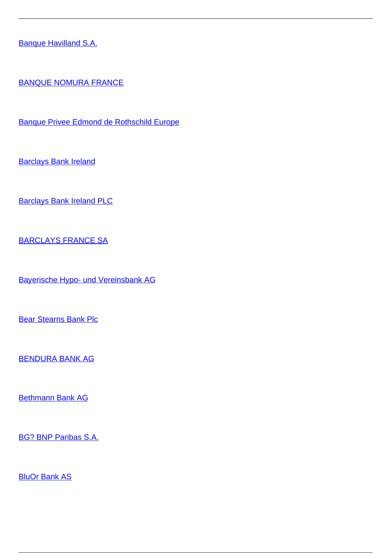[Banque Havilland S.A.](/en/banking-and-credit/banking-and-credit/credit-institutions/providers-cross-border-banking-services/banque-havilland-sa)

[BANQUE NOMURA FRANCE](/en/banking-and-credit/banking-and-credit/credit-institutions/providers-cross-border-banking-services/banque-nomura-france)

[Banque Privee Edmond de Rothschild Europe](/en/banking-and-credit/banking-and-credit/credit-institutions/providers-cross-border-banking-services/banque-privee-edmond-de-rothschild-europe)

**[Barclays Bank Ireland](/en/banking-and-credit/banking-and-credit/credit-institutions/providers-cross-border-banking-services/barclays-bank-ireland)** 

[Barclays Bank Ireland PLC](/en/banking-and-credit/banking-and-credit/credit-institutions/providers-cross-border-banking-services/barclays-bank-ireland-plc)

[BARCLAYS FRANCE SA](/en/banking-and-credit/banking-and-credit/credit-institutions/providers-cross-border-banking-services/barclays-france-sa)

[Bayerische Hypo- und Vereinsbank AG](/en/banking-and-credit/banking-and-credit/credit-institutions/providers-cross-border-banking-services/bayerische-hypo-und-vereinsbank-ag)

[Bear Stearns Bank Plc](/en/banking-and-credit/banking-and-credit/credit-institutions/providers-cross-border-banking-services/bear-stearns-bank-plc)

[BENDURA BANK AG](/en/banking-and-credit/banking-and-credit/credit-institutions/providers-cross-border-banking-services/bendura-bank-ag)

[Bethmann Bank AG](/en/banking-and-credit/banking-and-credit/credit-institutions/providers-cross-border-banking-services/bethmann-bank-ag)

[BG? BNP Paribas S.A.](/en/banking-and-credit/banking-and-credit/credit-institutions/providers-cross-border-banking-services/bgz-bnp-paribas-sa)

**[BluOr Bank AS](/en/banking-and-credit/banking-and-credit/credit-institutions/providers-cross-border-banking-services/bluor-bank)**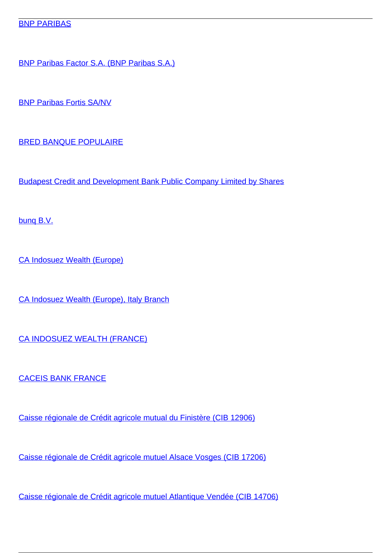## **[BNP PARIBAS](/en/banking-and-credit/banking-and-credit/credit-institutions/providers-cross-border-banking-services/bnp-paribas)**

[BNP Paribas Factor S.A. \(BNP Paribas S.A.\)](/en/banking-and-credit/banking-and-credit/credit-institutions/providers-cross-border-banking-services/bnp-paribas-factor-sa-bnp-paribas-sa)

[BNP Paribas Fortis SA/NV](/en/banking-and-credit/banking-and-credit/credit-institutions/providers-cross-border-banking-services/bnp-paribas-fortis-sanv)

[BRED BANQUE POPULAIRE](/en/banking-and-credit/banking-and-credit/credit-institutions/providers-cross-border-banking-services/bred-banque-populaire)

[Budapest Credit and Development Bank Public Company Limited by Shares](/en/banking-and-credit/banking-and-credit/credit-institutions/providers-cross-border-banking-services/budapest-credit-and-development-bank-public-company-limited-shares)

[bunq B.V.](/en/banking-and-credit/banking-and-credit/credit-institutions/providers-cross-border-banking-services/bunq-bv)

[CA Indosuez Wealth \(Europe\)](/en/banking-and-credit/banking-and-credit/credit-institutions/providers-cross-border-banking-services/ca-indosuez-wealth-europe)

[CA Indosuez Wealth \(Europe\), Italy Branch](/en/banking-and-credit/banking-and-credit/credit-institutions/providers-cross-border-banking-services/ca-indosuez-wealth-europe-italy-branch)

[CA INDOSUEZ WEALTH \(FRANCE\)](/en/banking-and-credit/banking-and-credit/credit-institutions/providers-cross-border-banking-services/ca-indosuez-wealth-france)

[CACEIS BANK FRANCE](/en/banking-and-credit/banking-and-credit/credit-institutions/providers-cross-border-banking-services/caceis-bank-france)

[Caisse régionale de Crédit agricole mutual du Finistère \(CIB 12906\)](/en/banking-and-credit/banking-and-credit/credit-institutions/providers-cross-border-banking-services/caisse-regionale-de-credit-agricole-mutual-du-finistere-cib-12906)

[Caisse régionale de Crédit agricole mutuel Alsace Vosges \(CIB 17206\)](/en/banking-and-credit/banking-and-credit/credit-institutions/providers-cross-border-banking-services/caisse-regionale-de-credit-agricole-mutuel-alsace-vosges-cib-17206)

[Caisse régionale de Crédit agricole mutuel Atlantique Vendée \(CIB 14706\)](/en/banking-and-credit/banking-and-credit/credit-institutions/providers-cross-border-banking-services/caisse-regionale-de-credit-agricole-mutuel-atlantique-vendee-cib-14706)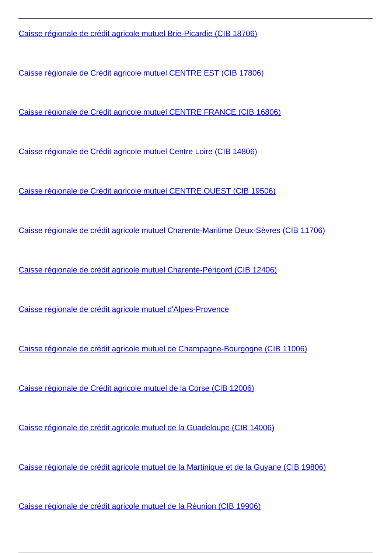[Caisse régionale de crédit agricole mutuel Brie-Picardie \(CIB 18706\)](/en/banking-and-credit/banking-and-credit/credit-institutions/providers-cross-border-banking-services/caisse-regionale-de-credit-agricole-mutuel-brie-picardie-cib-18706)

[Caisse régionale de Crédit agricole mutuel CENTRE EST \(CIB 17806\)](/en/banking-and-credit/banking-and-credit/credit-institutions/providers-cross-border-banking-services/caisse-regionale-de-credit-agricole-mutuel-centre-est-cib-17806)

[Caisse régionale de Crédit agricole mutuel CENTRE FRANCE \(CIB 16806\)](/en/banking-and-credit/banking-and-credit/credit-institutions/providers-cross-border-banking-services/caisse-regionale-de-credit-agricole-mutuel-centre-france-cib-16806)

[Caisse régionale de Crédit agricole mutuel Centre Loire \(CIB 14806\)](/en/banking-and-credit/banking-and-credit/credit-institutions/providers-cross-border-banking-services/caisse-regionale-de-credit-agricole-mutuel-centre-loire-cib-14806)

[Caisse régionale de Crédit agricole mutuel CENTRE OUEST \(CIB 19506\)](/en/banking-and-credit/banking-and-credit/credit-institutions/providers-cross-border-banking-services/caisse-regionale-de-credit-agricole-mutuel-centre-ouest-cib-19506)

[Caisse régionale de crédit agricole mutuel Charente-Maritime Deux-Sèvres \(CIB 11706\)](/en/banking-and-credit/banking-and-credit/credit-institutions/providers-cross-border-banking-services/caisse-regionale-de-credit-agricole-mutuel-charente-maritime-deux-sevres-cib-11706)

[Caisse régionale de crédit agricole mutuel Charente-Périgord \(CIB 12406\)](/en/banking-and-credit/banking-and-credit/credit-institutions/providers-cross-border-banking-services/caisse-regionale-de-credit-agricole-mutuel-charente-perigord-cib-12406)

[Caisse régionale de crédit agricole mutuel d'Alpes-Provence](/en/banking-and-credit/banking-and-credit/credit-institutions/providers-cross-border-banking-services/caisse-regionale-de-credit-agricole-mutuel-dalpes-provence)

[Caisse régionale de crédit agricole mutuel de Champagne-Bourgogne \(CIB 11006\)](/en/banking-and-credit/banking-and-credit/credit-institutions/providers-cross-border-banking-services/caisse-regionale-de-credit-agricole-mutuel-de-champagne-bourgogne-cib-11006)

[Caisse régionale de Crédit agricole mutuel de la Corse \(CIB 12006\)](/en/banking-and-credit/banking-and-credit/credit-institutions/providers-cross-border-banking-services/caisse-regionale-de-credit-agricole-mutuel-de-la-corse-cib-12006)

[Caisse régionale de crédit agricole mutuel de la Guadeloupe \(CIB 14006\)](/en/banking-and-credit/banking-and-credit/credit-institutions/providers-cross-border-banking-services/caisse-regionale-de-credit-agricole-mutuel-de-la-guadeloupe-cib-14006)

[Caisse régionale de crédit agricole mutuel de la Martinique et de la Guyane \(CIB 19806\)](/en/banking-and-credit/banking-and-credit/credit-institutions/providers-cross-border-banking-services/caisse-regionale-de-credit-agricole-mutuel-de-la-martinique-et-de-la-guyane-cib-19806)

[Caisse régionale de crédit agricole mutuel de la Réunion \(CIB 19906\)](/en/banking-and-credit/banking-and-credit/credit-institutions/providers-cross-border-banking-services/caisse-regionale-de-credit-agricole-mutuel-de-la-reunion-cib-19906)